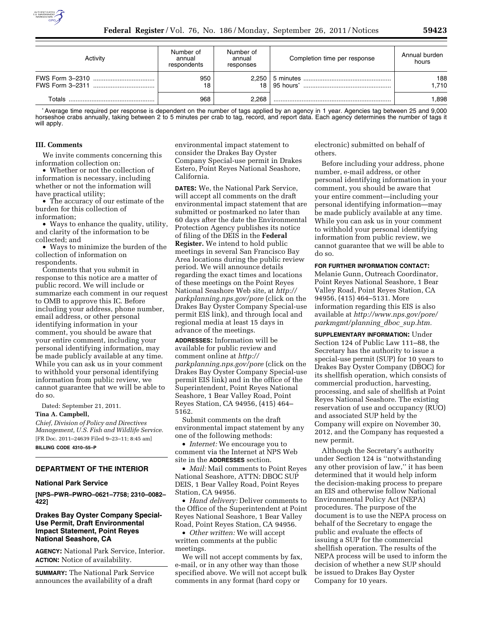

| Activity | Number of<br>annual<br>respondents | Number of<br>annual<br>responses | Completion time per response | Annual burden<br>hours |
|----------|------------------------------------|----------------------------------|------------------------------|------------------------|
|          | 950<br>18                          |                                  |                              | 188<br>1.710           |
| Totals   | 968                                | 2.268                            |                              | 1.898                  |

\*Average time required per response is dependent on the number of tags applied by an agency in 1 year. Agencies tag between 25 and 9,000 horseshoe crabs annually, taking between 2 to 5 minutes per crab to tag, record, and report data. Each agency determines the number of tags it will apply.

#### **III. Comments**

We invite comments concerning this information collection on:

• Whether or not the collection of information is necessary, including whether or not the information will have practical utility;

• The accuracy of our estimate of the burden for this collection of information;

• Ways to enhance the quality, utility, and clarity of the information to be collected; and

• Ways to minimize the burden of the collection of information on respondents.

Comments that you submit in response to this notice are a matter of public record. We will include or summarize each comment in our request to OMB to approve this IC. Before including your address, phone number, email address, or other personal identifying information in your comment, you should be aware that your entire comment, including your personal identifying information, may be made publicly available at any time. While you can ask us in your comment to withhold your personal identifying information from public review, we cannot guarantee that we will be able to do so.

Dated: September 21, 2011.

#### **Tina A. Campbell,**

*Chief, Division of Policy and Directives Management, U.S. Fish and Wildlife Service.*  [FR Doc. 2011–24639 Filed 9–23–11; 8:45 am] **BILLING CODE 4310–55–P** 

# **DEPARTMENT OF THE INTERIOR**

### **National Park Service**

**[NPS–PWR–PWRO–0621–7758; 2310–0082– 422]** 

# **Drakes Bay Oyster Company Special-Use Permit, Draft Environmental Impact Statement, Point Reyes National Seashore, CA**

**AGENCY:** National Park Service, Interior. **ACTION:** Notice of availability.

**SUMMARY:** The National Park Service announces the availability of a draft

environmental impact statement to consider the Drakes Bay Oyster Company Special-use permit in Drakes Estero, Point Reyes National Seashore, California.

**DATES:** We, the National Park Service, will accept all comments on the draft environmental impact statement that are submitted or postmarked no later than 60 days after the date the Environmental Protection Agency publishes its notice of filing of the DEIS in the **Federal Register.** We intend to hold public meetings in several San Francisco Bay Area locations during the public review period. We will announce details regarding the exact times and locations of these meetings on the Point Reyes National Seashore Web site, at *[http://](http://parkplanning.nps.gov/pore) [parkplanning.nps.gov/pore](http://parkplanning.nps.gov/pore)* (click on the Drakes Bay Oyster Company Special-use permit EIS link), and through local and regional media at least 15 days in advance of the meetings.

**ADDRESSES:** Information will be available for public review and comment online at *[http://](http://parkplanning.nps.gov/pore) [parkplanning.nps.gov/pore](http://parkplanning.nps.gov/pore)* (click on the Drakes Bay Oyster Company Special-use permit EIS link) and in the office of the Superintendent, Point Reyes National Seashore, 1 Bear Valley Road, Point Reyes Station, CA 94956, (415) 464– 5162.

Submit comments on the draft environmental impact statement by any one of the following methods:

• *Internet:* We encourage you to comment via the Internet at NPS Web site in the **ADDRESSES** section.

• *Mail:* Mail comments to Point Reyes National Seashore, ATTN: DBOC SUP DEIS, 1 Bear Valley Road, Point Reyes Station, CA 94956.

• *Hand delivery:* Deliver comments to the Office of the Superintendent at Point Reyes National Seashore, 1 Bear Valley Road, Point Reyes Station, CA 94956.

• *Other written:* We will accept written comments at the public meetings.

We will not accept comments by fax, e-mail, or in any other way than those specified above. We will not accept bulk comments in any format (hard copy or

electronic) submitted on behalf of others.

Before including your address, phone number, e-mail address, or other personal identifying information in your comment, you should be aware that your entire comment—including your personal identifying information—may be made publicly available at any time. While you can ask us in your comment to withhold your personal identifying information from public review, we cannot guarantee that we will be able to do so.

#### **FOR FURTHER INFORMATION CONTACT:**

Melanie Gunn, Outreach Coordinator, Point Reyes National Seashore, 1 Bear Valley Road, Point Reyes Station, CA 94956, (415) 464–5131. More information regarding this EIS is also available at *[http://www.nps.gov/pore/](http://www.nps.gov/pore/parkmgmt/planning_dboc_sup.htm) [parkmgmt/planning](http://www.nps.gov/pore/parkmgmt/planning_dboc_sup.htm)*\_*dboc*\_*sup.htm.* 

**SUPPLEMENTARY INFORMATION:** Under Section 124 of Public Law 111–88, the Secretary has the authority to issue a special-use permit (SUP) for 10 years to Drakes Bay Oyster Company (DBOC) for its shellfish operation, which consists of commercial production, harvesting, processing, and sale of shellfish at Point Reyes National Seashore. The existing reservation of use and occupancy (RUO) and associated SUP held by the Company will expire on November 30, 2012, and the Company has requested a new permit.

Although the Secretary's authority under Section 124 is ''notwithstanding any other provision of law,'' it has been determined that it would help inform the decision-making process to prepare an EIS and otherwise follow National Environmental Policy Act (NEPA) procedures. The purpose of the document is to use the NEPA process on behalf of the Secretary to engage the public and evaluate the effects of issuing a SUP for the commercial shellfish operation. The results of the NEPA process will be used to inform the decision of whether a new SUP should be issued to Drakes Bay Oyster Company for 10 years.